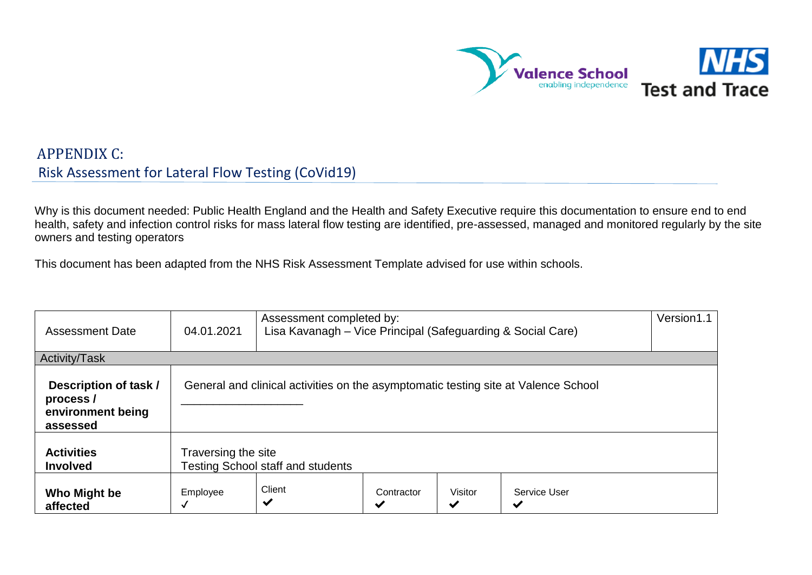

## APPENDIX C: Risk Assessment for Lateral Flow Testing (CoVid19)

Why is this document needed: Public Health England and the Health and Safety Executive require this documentation to ensure end to end health, safety and infection control risks for mass lateral flow testing are identified, pre-assessed, managed and monitored regularly by the site owners and testing operators

This document has been adapted from the NHS Risk Assessment Template advised for use within schools.

| <b>Assessment Date</b>                                             | 04.01.2021                                                                         | Assessment completed by:<br>Lisa Kavanagh - Vice Principal (Safeguarding & Social Care) |                 |                         |                              |  |  |  |
|--------------------------------------------------------------------|------------------------------------------------------------------------------------|-----------------------------------------------------------------------------------------|-----------------|-------------------------|------------------------------|--|--|--|
| Activity/Task                                                      |                                                                                    |                                                                                         |                 |                         |                              |  |  |  |
| Description of task /<br>process/<br>environment being<br>assessed | General and clinical activities on the asymptomatic testing site at Valence School |                                                                                         |                 |                         |                              |  |  |  |
| <b>Activities</b><br><b>Involved</b>                               |                                                                                    | Traversing the site<br><b>Testing School staff and students</b>                         |                 |                         |                              |  |  |  |
| Who Might be<br>affected                                           | Employee                                                                           | Client<br>✔                                                                             | Contractor<br>✔ | Visitor<br>$\checkmark$ | Service User<br>$\checkmark$ |  |  |  |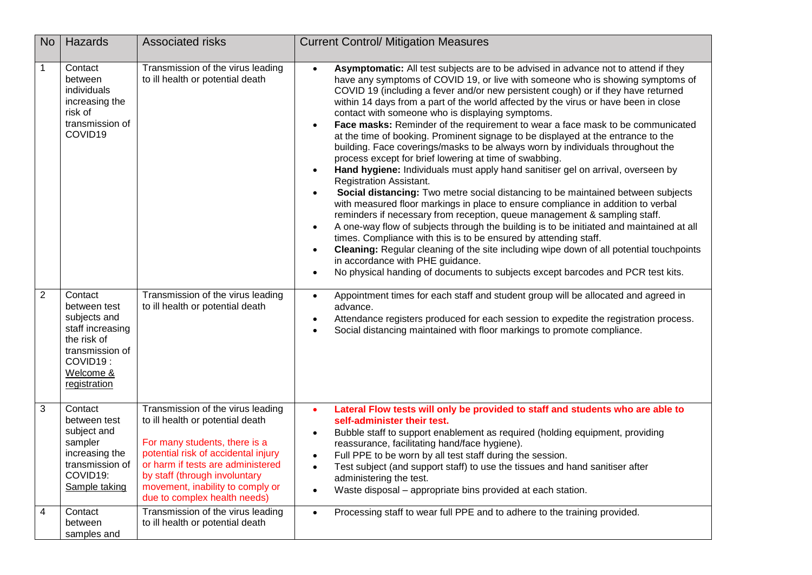| <b>No</b>      | Hazards                                                                                                                                | <b>Associated risks</b>                                                                                                                                                                                                                                                                 | <b>Current Control/ Mitigation Measures</b>                                                                                                                                                                                                                                                                                                                                                                                                                                                                                                                                                                                                                                                                                                                                                                                                                                                                                                                                                                                                                                                                                                                                                                                                                                                                                                                                                                                                                                                                                            |
|----------------|----------------------------------------------------------------------------------------------------------------------------------------|-----------------------------------------------------------------------------------------------------------------------------------------------------------------------------------------------------------------------------------------------------------------------------------------|----------------------------------------------------------------------------------------------------------------------------------------------------------------------------------------------------------------------------------------------------------------------------------------------------------------------------------------------------------------------------------------------------------------------------------------------------------------------------------------------------------------------------------------------------------------------------------------------------------------------------------------------------------------------------------------------------------------------------------------------------------------------------------------------------------------------------------------------------------------------------------------------------------------------------------------------------------------------------------------------------------------------------------------------------------------------------------------------------------------------------------------------------------------------------------------------------------------------------------------------------------------------------------------------------------------------------------------------------------------------------------------------------------------------------------------------------------------------------------------------------------------------------------------|
| $\mathbf 1$    | Contact<br>between<br>individuals<br>increasing the<br>risk of<br>transmission of<br>COVID19                                           | Transmission of the virus leading<br>to ill health or potential death                                                                                                                                                                                                                   | Asymptomatic: All test subjects are to be advised in advance not to attend if they<br>have any symptoms of COVID 19, or live with someone who is showing symptoms of<br>COVID 19 (including a fever and/or new persistent cough) or if they have returned<br>within 14 days from a part of the world affected by the virus or have been in close<br>contact with someone who is displaying symptoms.<br>Face masks: Reminder of the requirement to wear a face mask to be communicated<br>$\bullet$<br>at the time of booking. Prominent signage to be displayed at the entrance to the<br>building. Face coverings/masks to be always worn by individuals throughout the<br>process except for brief lowering at time of swabbing.<br>Hand hygiene: Individuals must apply hand sanitiser gel on arrival, overseen by<br><b>Registration Assistant.</b><br>Social distancing: Two metre social distancing to be maintained between subjects<br>$\bullet$<br>with measured floor markings in place to ensure compliance in addition to verbal<br>reminders if necessary from reception, queue management & sampling staff.<br>A one-way flow of subjects through the building is to be initiated and maintained at all<br>$\bullet$<br>times. Compliance with this is to be ensured by attending staff.<br>Cleaning: Regular cleaning of the site including wipe down of all potential touchpoints<br>in accordance with PHE guidance.<br>No physical handing of documents to subjects except barcodes and PCR test kits.<br>$\bullet$ |
| $\overline{2}$ | Contact<br>between test<br>subjects and<br>staff increasing<br>the risk of<br>transmission of<br>COVID19:<br>Welcome &<br>registration | Transmission of the virus leading<br>to ill health or potential death                                                                                                                                                                                                                   | Appointment times for each staff and student group will be allocated and agreed in<br>$\bullet$<br>advance.<br>Attendance registers produced for each session to expedite the registration process.<br>$\bullet$<br>Social distancing maintained with floor markings to promote compliance.                                                                                                                                                                                                                                                                                                                                                                                                                                                                                                                                                                                                                                                                                                                                                                                                                                                                                                                                                                                                                                                                                                                                                                                                                                            |
| 3              | Contact<br>between test<br>subject and<br>sampler<br>increasing the<br>transmission of<br>COVID19:<br>Sample taking                    | Transmission of the virus leading<br>to ill health or potential death<br>For many students, there is a<br>potential risk of accidental injury<br>or harm if tests are administered<br>by staff (through involuntary<br>movement, inability to comply or<br>due to complex health needs) | Lateral Flow tests will only be provided to staff and students who are able to<br>$\bullet$<br>self-administer their test.<br>Bubble staff to support enablement as required (holding equipment, providing<br>$\bullet$<br>reassurance, facilitating hand/face hygiene).<br>Full PPE to be worn by all test staff during the session.<br>$\bullet$<br>Test subject (and support staff) to use the tissues and hand sanitiser after<br>$\bullet$<br>administering the test.<br>Waste disposal - appropriate bins provided at each station.<br>$\bullet$                                                                                                                                                                                                                                                                                                                                                                                                                                                                                                                                                                                                                                                                                                                                                                                                                                                                                                                                                                                 |
| 4              | Contact<br>between<br>samples and                                                                                                      | Transmission of the virus leading<br>to ill health or potential death                                                                                                                                                                                                                   | Processing staff to wear full PPE and to adhere to the training provided.<br>$\bullet$                                                                                                                                                                                                                                                                                                                                                                                                                                                                                                                                                                                                                                                                                                                                                                                                                                                                                                                                                                                                                                                                                                                                                                                                                                                                                                                                                                                                                                                 |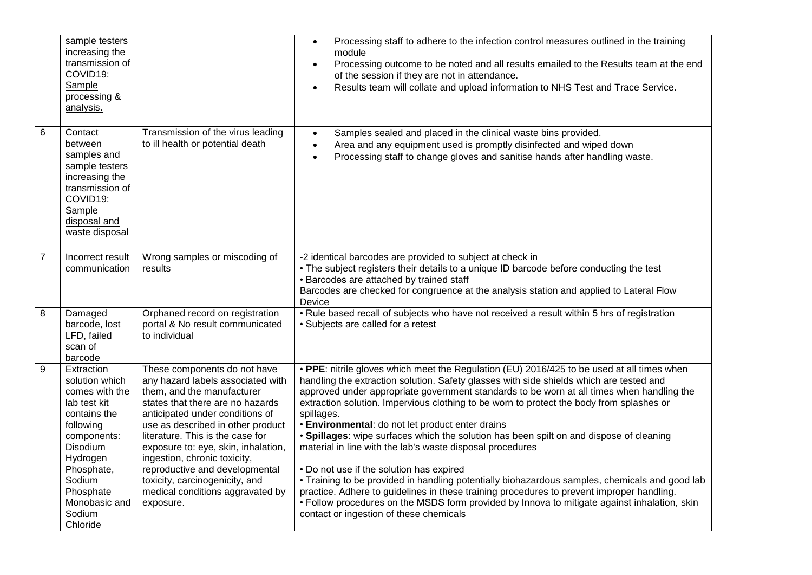|                | sample testers<br>increasing the<br>transmission of<br>COVID19:<br>Sample<br>processing &<br>analysis.                                                                                                         |                                                                                                                                                                                                                                                                                                                                                                                                                                             | Processing staff to adhere to the infection control measures outlined in the training<br>module<br>Processing outcome to be noted and all results emailed to the Results team at the end<br>of the session if they are not in attendance.<br>Results team will collate and upload information to NHS Test and Trace Service.                                                                                                                                                                                                                                                                                                                                                                                                                                                                                                                                                                                                                                                                   |
|----------------|----------------------------------------------------------------------------------------------------------------------------------------------------------------------------------------------------------------|---------------------------------------------------------------------------------------------------------------------------------------------------------------------------------------------------------------------------------------------------------------------------------------------------------------------------------------------------------------------------------------------------------------------------------------------|------------------------------------------------------------------------------------------------------------------------------------------------------------------------------------------------------------------------------------------------------------------------------------------------------------------------------------------------------------------------------------------------------------------------------------------------------------------------------------------------------------------------------------------------------------------------------------------------------------------------------------------------------------------------------------------------------------------------------------------------------------------------------------------------------------------------------------------------------------------------------------------------------------------------------------------------------------------------------------------------|
| $\overline{6}$ | Contact<br>between<br>samples and<br>sample testers<br>increasing the<br>transmission of<br>COVID19:<br>Sample<br>disposal and<br>waste disposal                                                               | Transmission of the virus leading<br>to ill health or potential death                                                                                                                                                                                                                                                                                                                                                                       | Samples sealed and placed in the clinical waste bins provided.<br>Area and any equipment used is promptly disinfected and wiped down<br>$\bullet$<br>Processing staff to change gloves and sanitise hands after handling waste.<br>$\bullet$                                                                                                                                                                                                                                                                                                                                                                                                                                                                                                                                                                                                                                                                                                                                                   |
| $\overline{7}$ | Incorrect result<br>communication                                                                                                                                                                              | Wrong samples or miscoding of<br>results                                                                                                                                                                                                                                                                                                                                                                                                    | -2 identical barcodes are provided to subject at check in<br>• The subject registers their details to a unique ID barcode before conducting the test<br>• Barcodes are attached by trained staff<br>Barcodes are checked for congruence at the analysis station and applied to Lateral Flow<br>Device                                                                                                                                                                                                                                                                                                                                                                                                                                                                                                                                                                                                                                                                                          |
| 8              | Damaged<br>barcode, lost<br>LFD, failed<br>scan of<br>barcode                                                                                                                                                  | Orphaned record on registration<br>portal & No result communicated<br>to individual                                                                                                                                                                                                                                                                                                                                                         | • Rule based recall of subjects who have not received a result within 5 hrs of registration<br>• Subjects are called for a retest                                                                                                                                                                                                                                                                                                                                                                                                                                                                                                                                                                                                                                                                                                                                                                                                                                                              |
| 9              | Extraction<br>solution which<br>comes with the<br>lab test kit<br>contains the<br>following<br>components:<br>Disodium<br>Hydrogen<br>Phosphate,<br>Sodium<br>Phosphate<br>Monobasic and<br>Sodium<br>Chloride | These components do not have<br>any hazard labels associated with<br>them, and the manufacturer<br>states that there are no hazards<br>anticipated under conditions of<br>use as described in other product<br>literature. This is the case for<br>exposure to: eye, skin, inhalation,<br>ingestion, chronic toxicity,<br>reproductive and developmental<br>toxicity, carcinogenicity, and<br>medical conditions aggravated by<br>exposure. | • PPE: nitrile gloves which meet the Regulation (EU) 2016/425 to be used at all times when<br>handling the extraction solution. Safety glasses with side shields which are tested and<br>approved under appropriate government standards to be worn at all times when handling the<br>extraction solution. Impervious clothing to be worn to protect the body from splashes or<br>spillages.<br>· Environmental: do not let product enter drains<br>• Spillages: wipe surfaces which the solution has been spilt on and dispose of cleaning<br>material in line with the lab's waste disposal procedures<br>• Do not use if the solution has expired<br>. Training to be provided in handling potentially biohazardous samples, chemicals and good lab<br>practice. Adhere to guidelines in these training procedures to prevent improper handling.<br>• Follow procedures on the MSDS form provided by Innova to mitigate against inhalation, skin<br>contact or ingestion of these chemicals |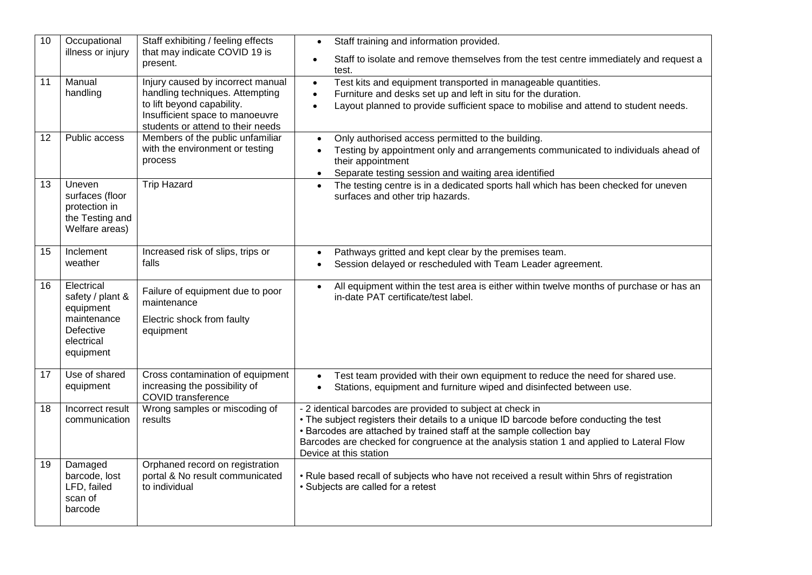| 10              | Occupational<br>illness or injury                                                                  | Staff exhibiting / feeling effects<br>that may indicate COVID 19 is<br>present.                                                                                            | Staff training and information provided.<br>$\bullet$<br>Staff to isolate and remove themselves from the test centre immediately and request a<br>test.                                                                                                                                                                                               |
|-----------------|----------------------------------------------------------------------------------------------------|----------------------------------------------------------------------------------------------------------------------------------------------------------------------------|-------------------------------------------------------------------------------------------------------------------------------------------------------------------------------------------------------------------------------------------------------------------------------------------------------------------------------------------------------|
| $\overline{11}$ | Manual<br>handling                                                                                 | Injury caused by incorrect manual<br>handling techniques. Attempting<br>to lift beyond capability.<br>Insufficient space to manoeuvre<br>students or attend to their needs | Test kits and equipment transported in manageable quantities.<br>$\bullet$<br>Furniture and desks set up and left in situ for the duration.<br>$\bullet$<br>Layout planned to provide sufficient space to mobilise and attend to student needs.<br>$\bullet$                                                                                          |
| 12              | Public access                                                                                      | Members of the public unfamiliar<br>with the environment or testing<br>process                                                                                             | Only authorised access permitted to the building.<br>$\bullet$<br>Testing by appointment only and arrangements communicated to individuals ahead of<br>$\bullet$<br>their appointment<br>Separate testing session and waiting area identified<br>$\bullet$                                                                                            |
| 13              | Uneven<br>surfaces (floor<br>protection in<br>the Testing and<br>Welfare areas)                    | <b>Trip Hazard</b>                                                                                                                                                         | The testing centre is in a dedicated sports hall which has been checked for uneven<br>surfaces and other trip hazards.                                                                                                                                                                                                                                |
| 15              | Inclement<br>weather                                                                               | Increased risk of slips, trips or<br>falls                                                                                                                                 | Pathways gritted and kept clear by the premises team.<br>$\bullet$<br>Session delayed or rescheduled with Team Leader agreement.                                                                                                                                                                                                                      |
| 16              | Electrical<br>safety / plant &<br>equipment<br>maintenance<br>Defective<br>electrical<br>equipment | Failure of equipment due to poor<br>maintenance<br>Electric shock from faulty<br>equipment                                                                                 | All equipment within the test area is either within twelve months of purchase or has an<br>$\bullet$<br>in-date PAT certificate/test label.                                                                                                                                                                                                           |
| 17              | Use of shared<br>equipment                                                                         | Cross contamination of equipment<br>increasing the possibility of<br><b>COVID</b> transference                                                                             | Test team provided with their own equipment to reduce the need for shared use.<br>$\bullet$<br>Stations, equipment and furniture wiped and disinfected between use.                                                                                                                                                                                   |
| 18              | Incorrect result<br>communication                                                                  | Wrong samples or miscoding of<br>results                                                                                                                                   | - 2 identical barcodes are provided to subject at check in<br>• The subject registers their details to a unique ID barcode before conducting the test<br>• Barcodes are attached by trained staff at the sample collection bay<br>Barcodes are checked for congruence at the analysis station 1 and applied to Lateral Flow<br>Device at this station |
| 19              | Damaged<br>barcode, lost<br>LFD, failed<br>scan of<br>barcode                                      | Orphaned record on registration<br>portal & No result communicated<br>to individual                                                                                        | • Rule based recall of subjects who have not received a result within 5hrs of registration<br>• Subjects are called for a retest                                                                                                                                                                                                                      |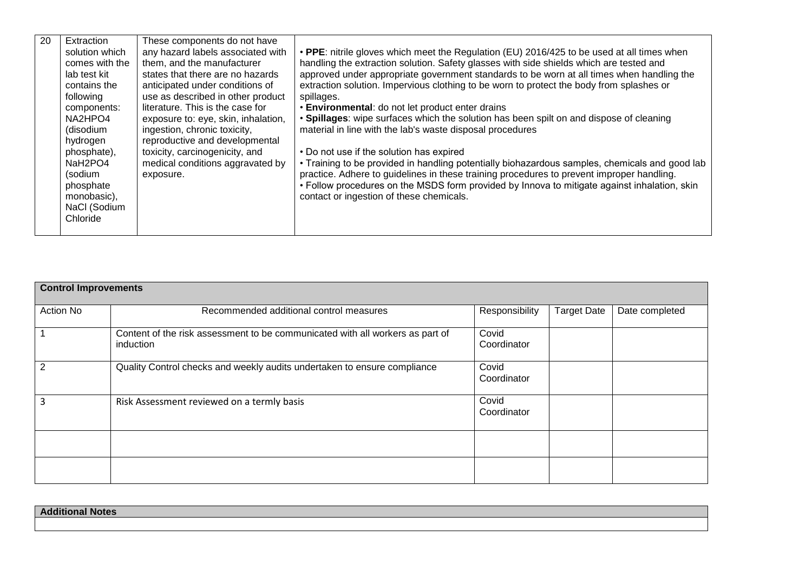| 20 | Extraction<br>solution which<br>comes with the<br>lab test kit<br>contains the<br>following<br>components:<br>NA2HPO4<br>(disodium<br>hydrogen<br>phosphate),<br>NaH <sub>2</sub> PO <sub>4</sub><br>(sodium<br>phosphate<br>monobasic),<br>NaCl (Sodium<br>Chloride | These components do not have<br>any hazard labels associated with<br>them, and the manufacturer<br>states that there are no hazards<br>anticipated under conditions of<br>use as described in other product<br>literature. This is the case for<br>exposure to: eye, skin, inhalation,<br>ingestion, chronic toxicity,<br>reproductive and developmental<br>toxicity, carcinogenicity, and<br>medical conditions aggravated by<br>exposure. | • PPE: nitrile gloves which meet the Regulation (EU) 2016/425 to be used at all times when<br>handling the extraction solution. Safety glasses with side shields which are tested and<br>approved under appropriate government standards to be worn at all times when handling the<br>extraction solution. Impervious clothing to be worn to protect the body from splashes or<br>spillages.<br><b>· Environmental:</b> do not let product enter drains<br>• Spillages: wipe surfaces which the solution has been spilt on and dispose of cleaning<br>material in line with the lab's waste disposal procedures<br>• Do not use if the solution has expired<br>• Training to be provided in handling potentially biohazardous samples, chemicals and good lab<br>practice. Adhere to guidelines in these training procedures to prevent improper handling.<br>• Follow procedures on the MSDS form provided by Innova to mitigate against inhalation, skin<br>contact or ingestion of these chemicals. |
|----|----------------------------------------------------------------------------------------------------------------------------------------------------------------------------------------------------------------------------------------------------------------------|---------------------------------------------------------------------------------------------------------------------------------------------------------------------------------------------------------------------------------------------------------------------------------------------------------------------------------------------------------------------------------------------------------------------------------------------|--------------------------------------------------------------------------------------------------------------------------------------------------------------------------------------------------------------------------------------------------------------------------------------------------------------------------------------------------------------------------------------------------------------------------------------------------------------------------------------------------------------------------------------------------------------------------------------------------------------------------------------------------------------------------------------------------------------------------------------------------------------------------------------------------------------------------------------------------------------------------------------------------------------------------------------------------------------------------------------------------------|
|----|----------------------------------------------------------------------------------------------------------------------------------------------------------------------------------------------------------------------------------------------------------------------|---------------------------------------------------------------------------------------------------------------------------------------------------------------------------------------------------------------------------------------------------------------------------------------------------------------------------------------------------------------------------------------------------------------------------------------------|--------------------------------------------------------------------------------------------------------------------------------------------------------------------------------------------------------------------------------------------------------------------------------------------------------------------------------------------------------------------------------------------------------------------------------------------------------------------------------------------------------------------------------------------------------------------------------------------------------------------------------------------------------------------------------------------------------------------------------------------------------------------------------------------------------------------------------------------------------------------------------------------------------------------------------------------------------------------------------------------------------|

| <b>Control Improvements</b> |                                                                                            |                      |                    |                |  |  |  |  |
|-----------------------------|--------------------------------------------------------------------------------------------|----------------------|--------------------|----------------|--|--|--|--|
| <b>Action No</b>            | Recommended additional control measures                                                    | Responsibility       | <b>Target Date</b> | Date completed |  |  |  |  |
| $\overline{1}$              | Content of the risk assessment to be communicated with all workers as part of<br>induction | Covid<br>Coordinator |                    |                |  |  |  |  |
| $\overline{2}$              | Quality Control checks and weekly audits undertaken to ensure compliance                   | Covid<br>Coordinator |                    |                |  |  |  |  |
| 3                           | Risk Assessment reviewed on a termly basis                                                 | Covid<br>Coordinator |                    |                |  |  |  |  |
|                             |                                                                                            |                      |                    |                |  |  |  |  |
|                             |                                                                                            |                      |                    |                |  |  |  |  |

| <b>Additional Notes</b> |  |
|-------------------------|--|
|                         |  |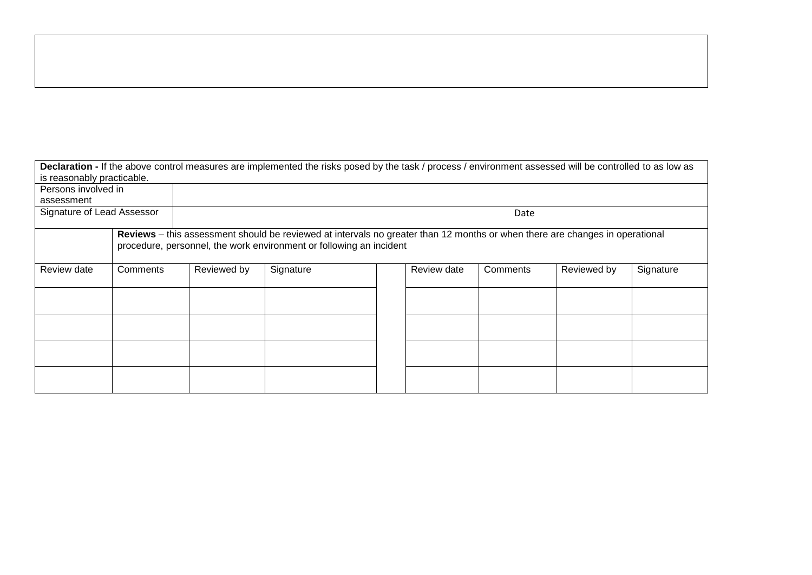| is reasonably practicable. |                                                                                                                                                                                                     |      | Declaration - If the above control measures are implemented the risks posed by the task / process / environment assessed will be controlled to as low as |  |  |  |             |           |
|----------------------------|-----------------------------------------------------------------------------------------------------------------------------------------------------------------------------------------------------|------|----------------------------------------------------------------------------------------------------------------------------------------------------------|--|--|--|-------------|-----------|
| Persons involved in        |                                                                                                                                                                                                     |      |                                                                                                                                                          |  |  |  |             |           |
| assessment                 |                                                                                                                                                                                                     |      |                                                                                                                                                          |  |  |  |             |           |
| Signature of Lead Assessor |                                                                                                                                                                                                     | Date |                                                                                                                                                          |  |  |  |             |           |
|                            | Reviews – this assessment should be reviewed at intervals no greater than 12 months or when there are changes in operational<br>procedure, personnel, the work environment or following an incident |      |                                                                                                                                                          |  |  |  |             |           |
| Review date                | Reviewed by<br>Signature<br>Review date<br>Comments<br>Comments                                                                                                                                     |      |                                                                                                                                                          |  |  |  | Reviewed by | Signature |
|                            |                                                                                                                                                                                                     |      |                                                                                                                                                          |  |  |  |             |           |
|                            |                                                                                                                                                                                                     |      |                                                                                                                                                          |  |  |  |             |           |
|                            |                                                                                                                                                                                                     |      |                                                                                                                                                          |  |  |  |             |           |
|                            |                                                                                                                                                                                                     |      |                                                                                                                                                          |  |  |  |             |           |